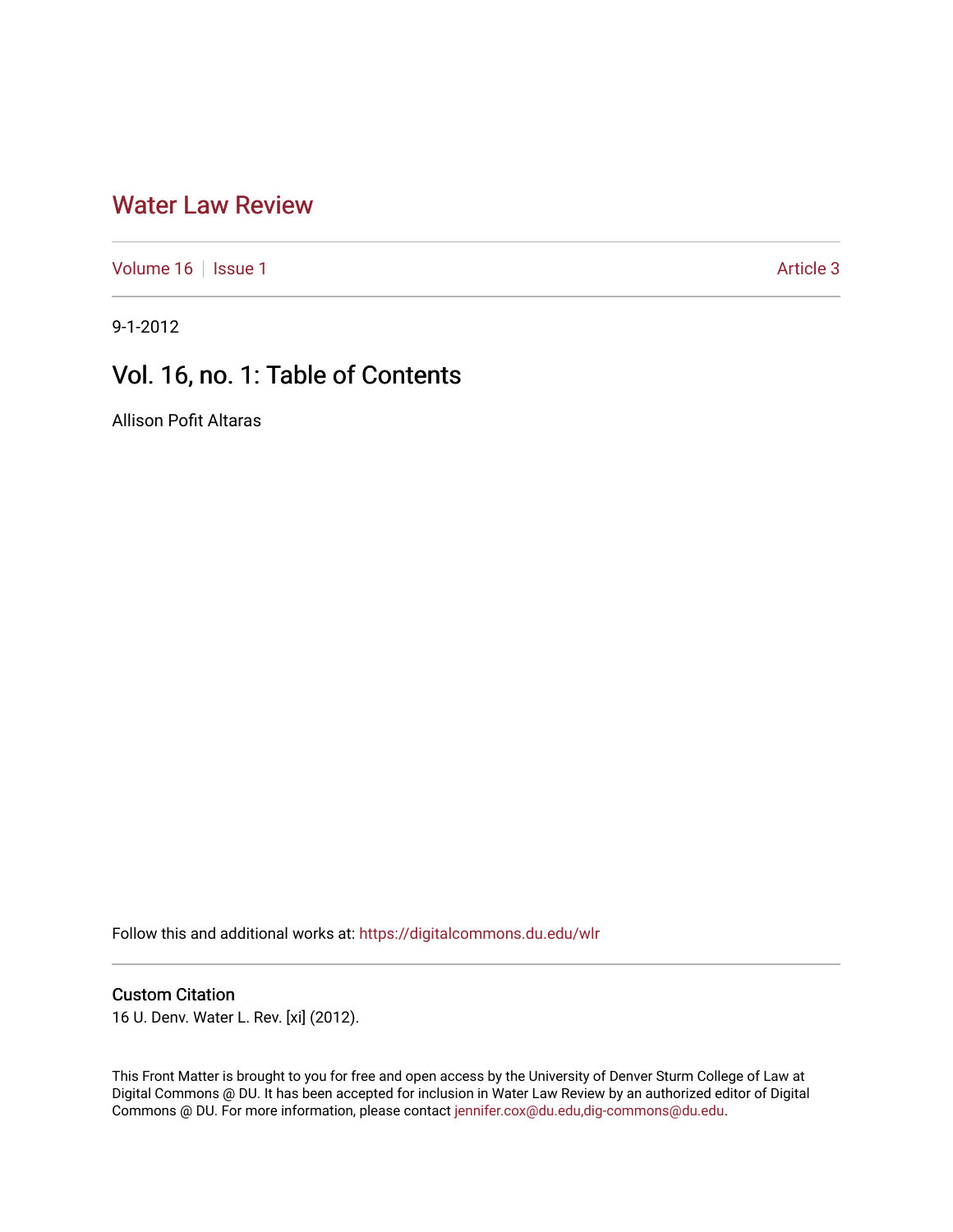# [Water Law Review](https://digitalcommons.du.edu/wlr)

[Volume 16](https://digitalcommons.du.edu/wlr/vol16) | [Issue 1](https://digitalcommons.du.edu/wlr/vol16/iss1) Article 3

9-1-2012

# Vol. 16, no. 1: Table of Contents

Allison Pofit Altaras

Follow this and additional works at: [https://digitalcommons.du.edu/wlr](https://digitalcommons.du.edu/wlr?utm_source=digitalcommons.du.edu%2Fwlr%2Fvol16%2Fiss1%2F3&utm_medium=PDF&utm_campaign=PDFCoverPages) 

## Custom Citation

16 U. Denv. Water L. Rev. [xi] (2012).

This Front Matter is brought to you for free and open access by the University of Denver Sturm College of Law at Digital Commons @ DU. It has been accepted for inclusion in Water Law Review by an authorized editor of Digital Commons @ DU. For more information, please contact [jennifer.cox@du.edu,dig-commons@du.edu.](mailto:jennifer.cox@du.edu,dig-commons@du.edu)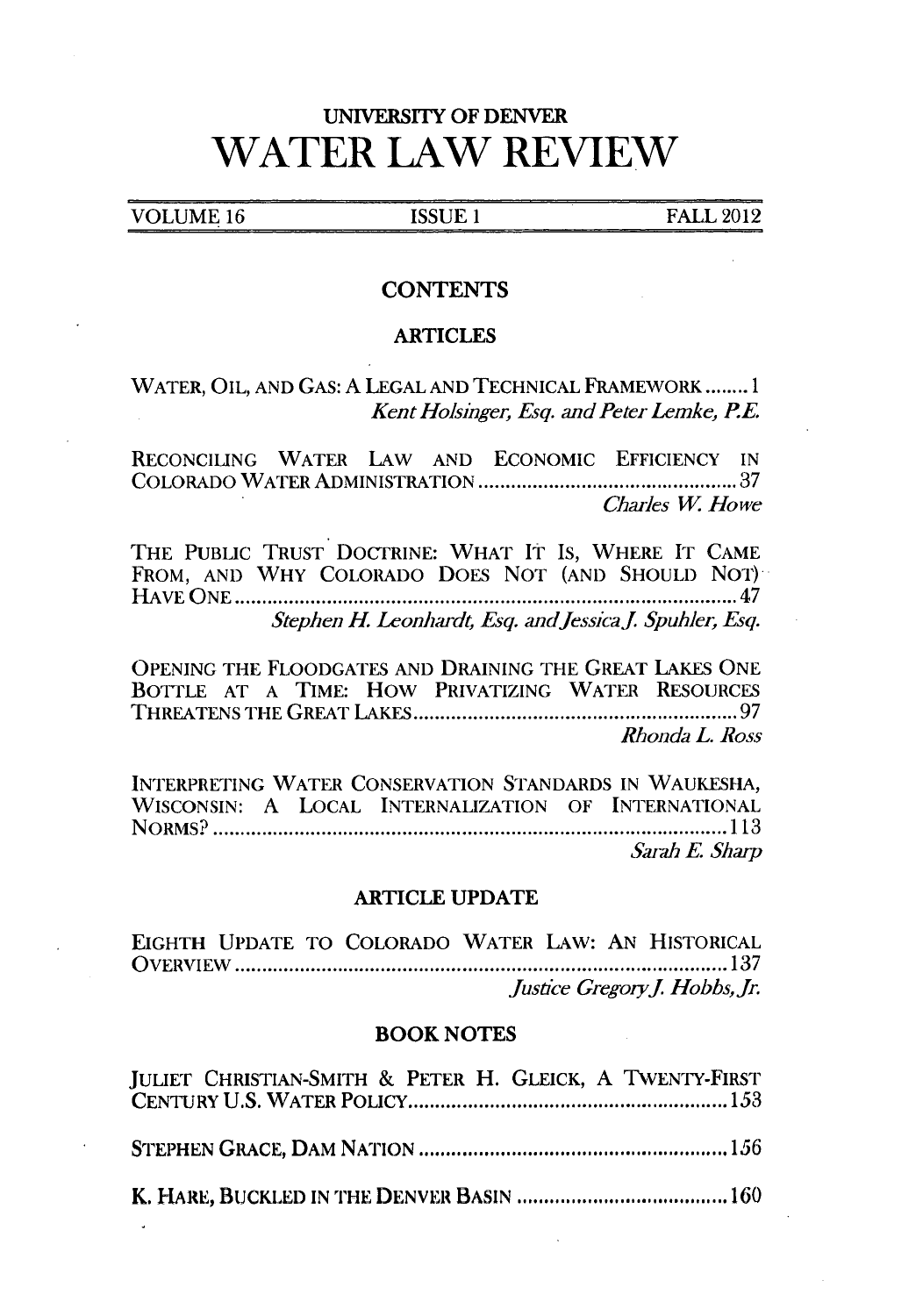# UNIVERSITY OF DENVER **WATER LAW REVIEW**

**VOLUME 16 ISSUE 1 ISSUE 1 FALL 2012** 

## **CONTENTS**

### ARTICLES

WATER, OIL, **AND** GAS: **A LEGAL AND** TECHNICAL **FRAMEWORK........1** *Kent Holsinger, Esq. and Peter Lemke, RE.*

RECONCILING WATER LAW **AND** ECONOMIC **EFFICIENCY IN** COLORADO WATER **ADMINISTRATION .......... ............... <sup>37</sup>** *Charles W Howe*

THE PUBLIC TRUST DOCTRINE: WHAT **IT** IS, WHERE IT **CAME** FROM, **AND** WHY COLORADO DOES **NOT (AND SHOULD** NOT) **HAVE ONE ................................... .. ............** <sup>47</sup> *Stephen H. Leonhardt, Esq. andJessicaj Spuhler, Esq.*

**OPENING** THE FLOODGATES **AND DRAINING** THE GREAT LAKES **ONE** BOTTLE **AT A** TIME: How PRIVATIZING WATER RESOURCES **THREATENS** THE GREAT **LAKES...............................97** *Rhonda L. Ross*

INTERPRETING WATER **CONSERVATION** STANDARDS **IN WAUKESHA, WISCONSIN: A** LOCAL INTERNALIZATION OF INTERNATIONAL NORMS? **........................................................ 113** *Sarah E Sharp*

#### ARTICLE **UPDATE**

**EIGHTH UPDATE** TO COLORADO WATER LAW: **AN** HISTORICAL OVERVIEW **........................................... ..... <sup>137</sup>** *justce GregoryJ. Hobbs, Jr.*

#### BOOK **NOTES**

| JULIET CHRISTIAN-SMITH & PETER H. GLEICK, A TWENTY-FIRST |  |
|----------------------------------------------------------|--|
|                                                          |  |
|                                                          |  |